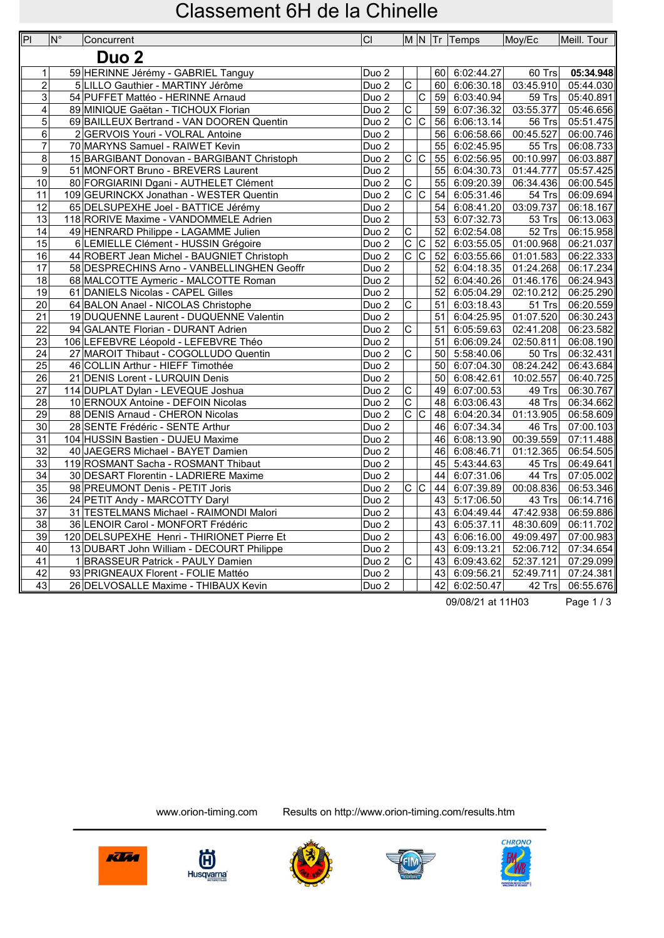| P <sub>1</sub>      | $ N^{\circ} $ | Concurrent                                                              | CI                                        |                               |                       |    | M N Tr Temps                   | Moy/Ec                  | Meill. Tour            |
|---------------------|---------------|-------------------------------------------------------------------------|-------------------------------------------|-------------------------------|-----------------------|----|--------------------------------|-------------------------|------------------------|
|                     |               | Duo <sub>2</sub>                                                        |                                           |                               |                       |    |                                |                         |                        |
|                     |               |                                                                         |                                           |                               |                       |    |                                |                         | 05:34.948              |
| 1<br>$\overline{2}$ |               | 59 HERINNE Jérémy - GABRIEL Tanguy<br>5 LILLO Gauthier - MARTINY Jérôme | Duo <sub>2</sub><br>$Du$ <sub>o</sub> $2$ | $\overline{\text{c}}$         |                       |    | 60 6:02:44.27<br>60 6:06:30.18 | 60 Trs<br>03:45.910     | 05:44.030              |
|                     |               | 54 PUFFET Mattéo - HERINNE Arnaud                                       |                                           |                               | $\overline{\text{c}}$ |    | 59 6:03:40.94                  | 59 Trs                  |                        |
| $\mathbf{3}$<br>4   |               | 89 MINIQUE Gaëtan - TICHOUX Florian                                     | Duo <sub>2</sub><br>$Duo$ 2               | $\overline{\mathsf{C}}$       |                       |    | 59 6:07:36.32                  | 03:55.377               | 05:40.891<br>05:46.656 |
| 5                   |               | 69 BAILLEUX Bertrand - VAN DOOREN Quentin                               | Duo <sub>2</sub>                          | c c                           |                       | 56 | 6:06:13.14                     |                         | 05:51.475              |
| 6                   |               | 2 GERVOIS Youri - VOLRAL Antoine                                        | Duo <sub>2</sub>                          |                               |                       | 56 | 6:06:58.66                     | 56 Trs<br>00:45.527     | 06:00.746              |
| $\overline{7}$      |               | 70 MARYNS Samuel - RAIWET Kevin                                         | Duo <sub>2</sub>                          |                               |                       | 55 | 6:02:45.95                     | 55 Trs                  | 06:08.733              |
| 8                   |               | 15 BARGIBANT Donovan - BARGIBANT Christoph                              | Duo <sub>2</sub>                          | $\overline{C}$                |                       |    | 55 6:02:56.95                  | 00:10.997               | 06:03.887              |
| 9                   |               | 51 MONFORT Bruno - BREVERS Laurent                                      | Duo <sub>2</sub>                          |                               |                       | 55 | 6:04:30.73                     | 01:44.777               | 05:57.425              |
| 10                  |               | 80 FORGIARINI Dgani - AUTHELET Clément                                  | Duo <sub>2</sub>                          | $\overline{C}$                |                       | 55 | 6:09:20.39                     | 06:34.436               | 06:00.545              |
| 11                  |               | 109 GEURINCKX Jonathan - WESTER Quentin                                 | Duo <sub>2</sub>                          | $\overline{C}$                |                       | 54 | 6:05:31.46                     | $54$ Trs                | 06:09.694              |
| $\overline{12}$     |               |                                                                         |                                           |                               |                       | 54 |                                |                         |                        |
|                     |               | 65 DELSUPEXHE Joel - BATTICE Jérémy                                     | Duo <sub>2</sub>                          |                               |                       |    | 6:08:41.20                     | 03:09.737               | 06:18.167              |
| 13                  |               | 118 RORIVE Maxime - VANDOMMELE Adrien                                   | Duo <sub>2</sub>                          |                               |                       | 53 | 6:07:32.73                     | 53 Trs                  | 06:13.063              |
| 14                  |               | 49 HENRARD Philippe - LAGAMME Julien                                    | Duo <sub>2</sub>                          | $\overline{C}$                |                       | 52 | 6:02:54.08                     | 52 Trs                  | 06:15.958              |
| 15                  |               | 6 LEMIELLE Clément - HUSSIN Grégoire                                    | Duo <sub>2</sub>                          | c c                           |                       | 52 | 6:03:55.05                     | 01:00.968               | 06:21.037              |
| 16                  |               | 44 ROBERT Jean Michel - BAUGNIET Christoph                              | Duo <sub>2</sub>                          | $\frac{1}{2}$                 |                       |    | $\overline{52}$ 6:03:55.66     | 01:01.583               | 06:22.333              |
| 17                  |               | 58 DESPRECHINS Arno - VANBELLINGHEN Geoffr                              | Duo <sub>2</sub>                          |                               |                       | 52 | 6:04:18.35                     | $\overline{01}$ :24.268 | 06:17.234              |
| 18                  |               | 68 MALCOTTE Aymeric - MALCOTTE Roman                                    | Duo <sub>2</sub>                          |                               |                       | 52 | 6:04:40.26                     | 01:46.176               | 06:24.943              |
| 19                  |               | 61 DANIELS Nicolas - CAPEL Gilles                                       | Duo <sub>2</sub>                          |                               |                       | 52 | 6:05:04.29                     | 02:10.212               | 06:25.290              |
| $\overline{20}$     |               | 64 BALON Anael - NICOLAS Christophe                                     | Duo <sub>2</sub>                          | $\overline{\text{c}}$         |                       | 51 | 6:03:18.43                     | $51$ Trs                | 06:20.559              |
| 21                  |               | 19 DUQUENNE Laurent - DUQUENNE Valentin                                 | Duo <sub>2</sub>                          |                               |                       | 51 | 6:04:25.95                     | 01:07.520               | 06:30.243              |
| $\overline{22}$     |               | 94 GALANTE Florian - DURANT Adrien                                      | Duo <sub>2</sub>                          | $\overline{\mathsf{c}}$       |                       | 51 | 6:05:59.63                     | 02:41.208               | 06:23.582              |
| 23                  |               | 106 LEFEBVRE Léopold - LEFEBVRE Théo                                    | Duo <sub>2</sub>                          |                               |                       | 51 | 6:06:09.24                     | 02:50.811               | 06:08.190              |
| 24                  |               | 27 MAROIT Thibaut - COGOLLUDO Quentin                                   | Duo <sub>2</sub>                          | $\overline{C}$                |                       | 50 | 5:58:40.06                     | 50 Trs                  | 06:32.431              |
| $\overline{25}$     |               | 46 COLLIN Arthur - HIEFF Timothée                                       | Duo <sub>2</sub>                          |                               |                       |    | 50 6:07:04.30                  | 08:24.242               | 06:43.684              |
| 26                  |               | 21 DENIS Lorent - LURQUIN Denis                                         | Duo <sub>2</sub>                          |                               |                       | 50 | 6:08:42.61                     | 10:02.557               | 06:40.725              |
| 27                  |               | 114 DUPLAT Dylan - LEVEQUE Joshua                                       | Duo <sub>2</sub>                          | $\overline{\text{c}}$         |                       |    | 49 6:07:00.53                  | 49 Trs                  | 06:30.767              |
| 28                  |               | 10 ERNOUX Antoine - DEFOIN Nicolas                                      | Duo <sub>2</sub>                          | $\overline{C}$                |                       | 48 | 6:03:06.43                     | 48 Trs                  | 06:34.662              |
| 29                  |               | 88 DENIS Arnaud - CHERON Nicolas                                        | Duo <sub>2</sub>                          | $\overline{c c}$              |                       |    | 48 6:04:20.34                  | 01:13.905               | 06:58.609              |
| $\overline{30}$     |               | 28 SENTE Frédéric - SENTE Arthur                                        | Duo <sub>2</sub>                          |                               |                       |    | 46 6:07:34.34                  | 46 Trs                  | 07:00.103              |
| 31                  |               | 104 HUSSIN Bastien - DUJEU Maxime                                       | Duo <sub>2</sub>                          |                               |                       | 46 | 6:08:13.90                     | 00:39.559               | 07:11.488              |
| $\overline{32}$     |               | 40 JAEGERS Michael - BAYET Damien                                       | Duo <sub>2</sub>                          |                               |                       | 46 | 6:08:46.71                     | 01:12.365               | 06:54.505              |
| 33                  |               | 119 ROSMANT Sacha - ROSMANT Thibaut                                     | Duo <sub>2</sub>                          |                               |                       | 45 | 5:43:44.63                     | 45 Trs                  | 06:49.641              |
| 34                  |               | 30 DESART Florentin - LADRIERE Maxime                                   | Duo <sub>2</sub>                          |                               |                       | 44 | 6:07:31.06                     | 44 Trs                  | 07:05.002              |
| $\overline{35}$     |               | 98 PREUMONT Denis - PETIT Joris                                         | Duo <sub>2</sub>                          | $\overline{C}$ $\overline{C}$ |                       | 44 | 6:07:39.89                     | 00:08.836               | 06:53.346              |
| 36                  |               | 24 PETIT Andy - MARCOTTY Daryl                                          | Duo <sub>2</sub>                          |                               |                       | 43 | 5:17:06.50                     | 43 Trs                  | 06:14.716              |
| 37                  |               | 31 TESTELMANS Michael - RAIMONDI Malori                                 | Duo <sub>2</sub>                          |                               |                       | 43 | 6:04:49.44                     | 47:42.938               | 06:59.886              |
| 38                  |               | 36 LENOIR Carol - MONFORT Frédéric                                      | Duo <sub>2</sub>                          |                               |                       |    | $\overline{43}$ 6:05:37.11     | 48:30.609               | 06:11.702              |
| 39                  |               | 120 DELSUPEXHE Henri - THIRIONET Pierre Et                              | Duo <sub>2</sub>                          |                               |                       | 43 | 6:06:16.00                     | 49:09.497               | 07:00.983              |
| 40                  |               | 13 DUBART John William - DECOURT Philippe                               | Duo <sub>2</sub>                          |                               |                       | 43 | 6:09:13.21                     | 52:06.712               | 07:34.654              |
| $\overline{41}$     |               | 1 BRASSEUR Patrick - PAULY Damien                                       | Duo <sub>2</sub>                          | $\overline{\text{c}}$         |                       |    | $\overline{43}$ 6:09:43.62     | $\overline{52}:37.121$  | 07:29.099              |
| 42                  |               | 93 PRIGNEAUX Florent - FOLIE Mattéo                                     | Duo <sub>2</sub>                          |                               |                       | 43 | 6:09:56.21                     | 52:49.711               | 07:24.381              |
| $\overline{43}$     |               | 26 DELVOSALLE Maxime - THIBAUX Kevin                                    | Duo <sub>2</sub>                          |                               |                       |    | 42 6:02:50.47                  | 42 Trs                  | 06:55.676              |

09/08/21 at 11H03 Page 1 / 3

田 **Husqvarna** 

www.orion-timing.com Results on http://www.orion-timing.com/results.htm







Klin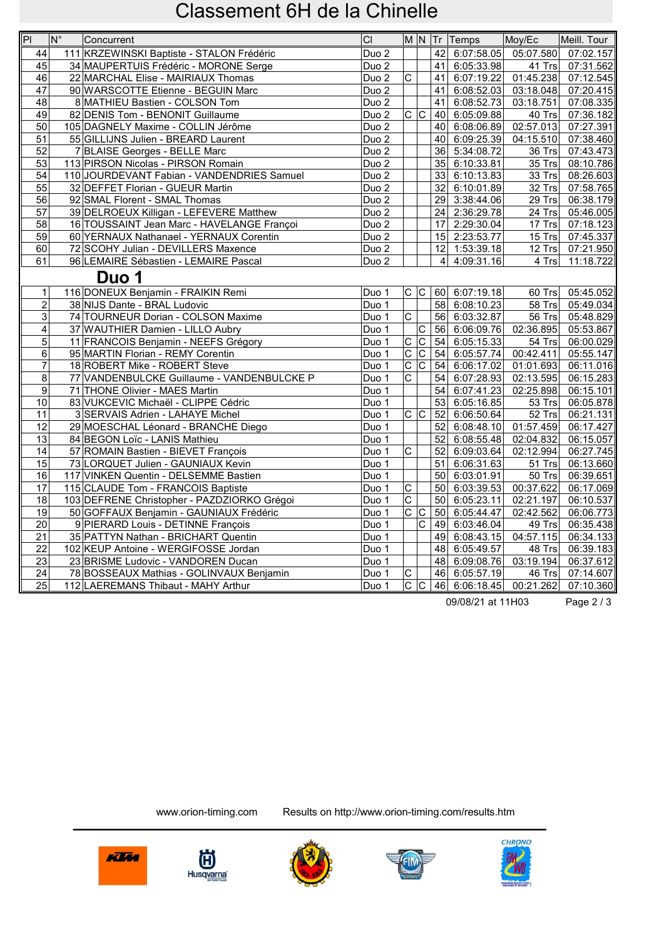| P               | $\overline{\mathsf{N}^{\circ}}$ | Concurrent                                  | CI               |                         |                       |                | M N Tr Temps          | Moy/Ec              | Meill. Tour             |
|-----------------|---------------------------------|---------------------------------------------|------------------|-------------------------|-----------------------|----------------|-----------------------|---------------------|-------------------------|
| 44              |                                 | 111 KRZEWINSKI Baptiste - STALON Frédéric   | Duo <sub>2</sub> |                         |                       |                | 42 6:07:58.05         | 05:07.580           | 07:02.157               |
| 45              |                                 | 34 MAUPERTUIS Frédéric - MORONE Serge       | Duo <sub>2</sub> |                         |                       | 41             | 6:05:33.98            | 41 Trs              | 07:31.562               |
| 46              |                                 | 22 MARCHAL Elise - MAIRIAUX Thomas          | Duo <sub>2</sub> | $\overline{C}$          |                       | 41             | 6:07:19.22            | 01:45.238           | 07:12.545               |
| 47              |                                 | 90 WARSCOTTE Etienne - BEGUIN Marc          | Duo <sub>2</sub> |                         |                       | 41             | 6:08:52.03            | 03:18.048           | $\overline{07:20.415}$  |
| 48              |                                 | 8 MATHIEU Bastien - COLSON Tom              | Duo <sub>2</sub> |                         |                       | 41             | 6:08:52.73            | 03:18.751           | 07:08.335               |
| 49              |                                 | 82 DENIS Tom - BENONIT Guillaume            | Duo <sub>2</sub> | $\overline{C}$          |                       |                | 40 6:05:09.88         | 40 Trs              | 07:36.182               |
| 50              |                                 | 105 DAGNELY Maxime - COLLIN Jérôme          | Duo <sub>2</sub> |                         |                       |                | 40 6:08:06.89         | 02:57.013           | 07:27.391               |
| 51              |                                 | 55 GILLIJNS Julien - BREARD Laurent         | Duo <sub>2</sub> |                         |                       |                | 40 6:09:25.39         | 04:15.510           | 07:38.460               |
| 52              |                                 | 7 BLAISE Georges - BELLE Marc               | Duo <sub>2</sub> |                         |                       | 36             | 5:34:08.72            | 36 Trs              | 07:43.473               |
| 53              |                                 | 113 PIRSON Nicolas - PIRSON Romain          | Duo <sub>2</sub> |                         |                       |                | 35 6:10:33.81         | $35$ Trs            | 08:10.786               |
| 54              |                                 | 110 JOURDEVANT Fabian - VANDENDRIES Samuel  | Duo <sub>2</sub> |                         |                       | 33             | 6:10:13.83            | 33 $Trs$            | 08:26.603               |
| $\overline{55}$ |                                 | 32 DEFFET Florian - GUEUR Martin            | Duo <sub>2</sub> |                         |                       |                | 32 6:10:01.89         | 32 Trs              | 07:58.765               |
| 56              |                                 | 92 SMAL Florent - SMAL Thomas               | Duo <sub>2</sub> |                         |                       | 29             | 3:38:44.06            | 29 Trs              | 06:38.179               |
| 57              |                                 | 39 DELROEUX Killigan - LEFEVERE Matthew     | Duo <sub>2</sub> |                         |                       | 24             | 2:36:29.78            | 24 Trs              | 05:46.005               |
| 58              |                                 | 16 TOUSSAINT Jean Marc - HAVELANGE Françoi  | Duo <sub>2</sub> |                         |                       | 17             | 2:29:30.04            | 17 $Trs$            | 07:18.123               |
| 59              |                                 | 60 YERNAUX Nathanael - YERNAUX Corentin     | Duo <sub>2</sub> |                         |                       | 15             | 2:23:53.77            | 15 Trs              | 07:45.337               |
| 60              |                                 | 72 SCOHY Julian - DEVILLERS Maxence         | Duo <sub>2</sub> |                         |                       |                | 12 1:53:39.18         | 12 Trs              | 07:21.950               |
| 61              |                                 | 96 LEMAIRE Sébastien - LEMAIRE Pascal       | Duo <sub>2</sub> |                         |                       | $\overline{4}$ | 4:09:31.16            | 4 Trs               | 11:18.722               |
|                 |                                 | Duo 1                                       |                  |                         |                       |                |                       |                     |                         |
| $\mathbf{1}$    |                                 | 116 DONEUX Benjamin - FRAIKIN Remi          | Duo 1            | C C                     |                       |                | 60 6:07:19.18         | $\overline{60}$ Trs | 05:45.052               |
| $\overline{2}$  |                                 | 38 NIJS Dante - BRAL Ludovic                | Duo 1            |                         |                       | 58             | 6:08:10.23            | 58 Trs              | 05:49.034               |
| $\overline{3}$  |                                 | 74 TOURNEUR Dorian - COLSON Maxime          | Duo 1            | $\overline{\mathsf{c}}$ |                       |                | 56 6:03:32.87         | $56$ Trs            | 05:48.829               |
| $\overline{4}$  |                                 | 37 WAUTHIER Damien - LILLO Aubry            | Duo 1            |                         | $\overline{C}$        |                | 56 6:06:09.76         | 02:36.895           | 05:53.867               |
| 5               |                                 | 11 FRANCOIS Benjamin - NEEFS Grégory        | Duo 1            | $\overline{C}$          | $\overline{C}$        | 54             | 6:05:15.33            | 54 Trs              | 06:00.029               |
| 6               |                                 | 95 MARTIN Florian - REMY Corentin           | Duo 1            |                         | $ \overline{C} $      | 54             | 6:05:57.74            | 00:42.411           | 05:55.147               |
| $\overline{7}$  |                                 | 18 ROBERT Mike - ROBERT Steve               | Duo 1            | $\frac{1}{2}$           | $\overline{\text{c}}$ | 54             | 6:06:17.02            | 01:01.693           | 06:11.016               |
| $\overline{8}$  |                                 | 77 VANDENBULCKE Guillaume - VANDENBULCKE P  | Duo 1            | $\overline{\mathrm{c}}$ |                       | 54             | 6:07:28.93            | 02:13.595           | 06:15.283               |
| $\overline{9}$  |                                 | 71 THONE Olivier - MAES Martin              | Duo 1            |                         |                       | 54             | 6:07:41.23            | 02:25.898           | 06:15.101               |
| 10              |                                 | 83 VUKCEVIC Michaël - CLIPPE Cédric         | Duo 1            |                         |                       | 53             | 6:05:16.85            | 53 Trs              | 06:05.878               |
| 11              |                                 | 3 SERVAIS Adrien - LAHAYE Michel            | Duo 1            | c c                     |                       | 52             | 6:06:50.64            | 52 Trs              | 06:21.131               |
| 12              |                                 | 29 MOESCHAL Léonard - BRANCHE Diego         | Duo 1            |                         |                       | 52             | 6:08:48.10            | 01:57.459           | 06:17.427               |
| 13              |                                 | 84 BEGON Loïc - LANIS Mathieu               | Duo 1            |                         |                       | 52             | 6:08:55.48            | 02:04.832           | 06:15.057               |
| 14              |                                 | 57 ROMAIN Bastien - BIEVET François         | Duo 1            | $\overline{\mathrm{c}}$ |                       |                | 52 6:09:03.64         | 02:12.994           | 06:27.745               |
| 15              |                                 | 73 LORQUET Julien - GAUNIAUX Kevin          | Duo 1            |                         |                       | 51             | 6:06:31.63            | 51 Trs              | 06:13.660               |
| 16              |                                 | 117 VINKEN Quentin - DELSEMME Bastien       | Duo 1            |                         |                       |                | 50 6:03:01.91         | 50 Trs              | 06:39.651               |
| $\overline{17}$ |                                 | 115 CLAUDE Tom - FRANCOIS Baptiste          | Duo 1            | $\overline{c}$          |                       |                | 50 6:03:39.53         | 00:37.622           | 06:17.069               |
| $\overline{18}$ |                                 | 103 DEFRENE Christopher - PAZDZIORKO Grégoi | Duo 1            | $\overline{\mathrm{c}}$ |                       |                | 50 6:05:23.11         | 02:21.197           | 06:10.537               |
| 19              |                                 | 50 GOFFAUX Benjamin - GAUNIAUX Frédéric     | Duo 1            | $\overline{\mathrm{c}}$ | C                     |                | 50 6:05:44.47         | 02:42.562           | 06:06.773               |
| 20              |                                 | 9 PIERARD Louis - DETINNE François          | Duo 1            |                         | $\overline{\text{c}}$ |                | 49 6:03:46.04         | $\overline{49}$ Trs | 06:35.438               |
| 21              |                                 | 35 PATTYN Nathan - BRICHART Quentin         | Duo 1            |                         |                       |                | 49 6:08:43.15         | 04:57.115           | $\overline{06}$ :34.133 |
| $\overline{22}$ |                                 | 102 KEUP Antoine - WERGIFOSSE Jordan        | Duo 1            |                         |                       | 48             | 6:05:49.57            | 48 Trs              | 06:39.183               |
| $\overline{23}$ |                                 | 23 BRISME Ludovic - VANDOREN Ducan          | Duo 1            |                         |                       |                | 48 6:09:08.76         | 03:19.194           | 06:37.612               |
| 24              |                                 | 78 BOSSEAUX Mathias - GOLINVAUX Benjamin    | Duo 1            | $\overline{\mathsf{C}}$ |                       |                | 46 6:05:57.19         | 46 Trs              | 07:14.607               |
| 25              |                                 | 112 LAEREMANS Thibaut - MAHY Arthur         | Duo 1            |                         |                       |                | $C$ $C$ 46 6:06:18.45 | 00:21.262           | 07:10.360               |

09/08/21 at 11H03 Page 2 / 3

田 **Husqvarna** 

www.orion-timing.com Results on http://www.orion-timing.com/results.htm







Klin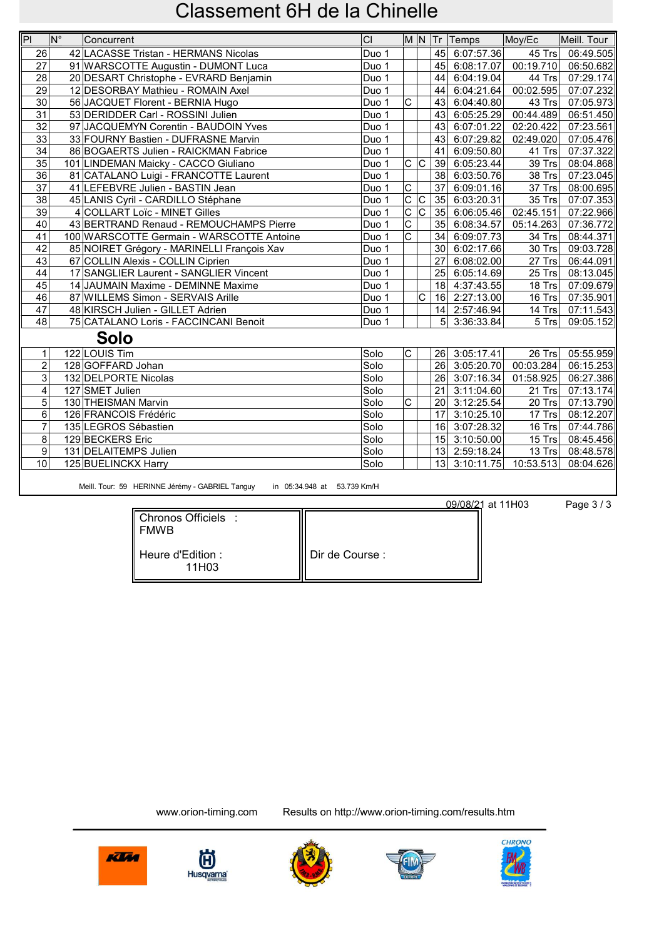| PI                      | $N^{\circ}$ | Concurrent                                 | Cl    |                         |                         |                 | M N Tr Temps               | Moy/Ec                 | Meill. Tour      |
|-------------------------|-------------|--------------------------------------------|-------|-------------------------|-------------------------|-----------------|----------------------------|------------------------|------------------|
| 26                      |             | 42 LACASSE Tristan - HERMANS Nicolas       | Duo 1 |                         |                         |                 | 45 6:07:57.36              |                        | 45 Trs 06:49.505 |
| $\overline{27}$         |             | 91 WARSCOTTE Augustin - DUMONT Luca        | Duo 1 |                         |                         |                 | $\overline{45}$ 6:08:17.07 | $\overline{00:19}.710$ | 06:50.682        |
| 28                      |             | 20 DESART Christophe - EVRARD Benjamin     | Duo 1 |                         |                         |                 | 44 6:04:19.04              | 44 Trs                 | 07:29.174        |
| $\overline{29}$         |             | 12 DESORBAY Mathieu - ROMAIN Axel          | Duo 1 |                         |                         | 44              | 6:04:21.64                 | 00:02.595              | 07:07.232        |
| $\overline{30}$         |             | 56 JACQUET Florent - BERNIA Hugo           | Duo 1 | $\overline{\text{c}}$   |                         |                 | 43 6:04:40.80              | $43$ Trs               | 07:05.973        |
| $\overline{31}$         |             | 53 DERIDDER Carl - ROSSINI Julien          | Duo 1 |                         |                         |                 | 43 6:05:25.29              | $\overline{00:44.489}$ | 06:51.450        |
| $\overline{32}$         |             | 97 JACQUEMYN Corentin - BAUDOIN Yves       | Duo 1 |                         |                         |                 | 43 6:07:01.22              | 02:20.422              | 07:23.561        |
| $\overline{33}$         |             | 33 FOURNY Bastien - DUFRASNE Marvin        | Duo 1 |                         |                         |                 | 43 6:07:29.82              | 02:49.020              | 07:05.476        |
| 34                      |             | 86 BOGAERTS Julien - RAICKMAN Fabrice      | Duo 1 |                         |                         | 41              | 6:09:50.80                 | 41 Trs                 | 07:37.322        |
| $\overline{35}$         |             | 101 LINDEMAN Maicky - CACCO Giuliano       | Duo 1 | $\overline{c c}$        |                         | 39              | 6:05:23.44                 | 39 Trs                 | 08:04.868        |
| $\overline{36}$         |             | 81 CATALANO Luigi - FRANCOTTE Laurent      | Duo 1 |                         |                         | 38              | 6:03:50.76                 | 38 Trs                 | 07:23.045        |
| $\overline{37}$         |             | 41 LEFEBVRE Julien - BASTIN Jean           | Duo 1 | $\overline{C}$          |                         | 37              | 6:09:01.16                 | $37$ Trs               | 08:00.695        |
| 38                      |             | 45 LANIS Cyril - CARDILLO Stéphane         | Duo 1 | $\mathsf{C}$            | $\overline{C}$          |                 | 35 6:03:20.31              | $35$ Trs               | 07:07.353        |
| 39                      |             | 4 COLLART Loïc - MINET Gilles              | Duo 1 | $\overline{\mathsf{C}}$ | $\overline{\mathsf{C}}$ |                 | 35 6:06:05.46              | 02:45.151              | 07:22.966        |
| 40                      |             | 43 BERTRAND Renaud - REMOUCHAMPS Pierre    | Duo 1 | $\overline{\mathrm{c}}$ |                         |                 | 35 6:08:34.57              | 05:14.263              | 07:36.772        |
| 41                      |             | 100 WARSCOTTE Germain - WARSCOTTE Antoine  | Duo 1 | $\overline{\text{c}}$   |                         |                 | 34 6:09:07.73              | $34$ Trs               | 08:44.371        |
| 42                      |             | 85 NOIRET Grégory - MARINELLI François Xav | Duo 1 |                         |                         |                 | 30 6:02:17.66              | $30$ Trs               | 09:03.728        |
| 43                      |             | 67 COLLIN Alexis - COLLIN Ciprien          | Duo 1 |                         |                         | 27              | 6:08:02.00                 | $27$ Trs               | 06:44.091        |
| 44                      |             | 17 SANGLIER Laurent - SANGLIER Vincent     | Duo 1 |                         |                         |                 | 25 6:05:14.69              | $25$ Trs               | 08:13.045        |
| $\overline{45}$         |             | 14 JAUMAIN Maxime - DEMINNE Maxime         | Duo 1 |                         |                         |                 | 18 4:37:43.55              | 18 Trs $\vert$         | 07:09.679        |
| 46                      |             | 87 WILLEMS Simon - SERVAIS Arille          | Duo 1 |                         | C                       |                 | 16 2:27:13.00              | 16 Trs $\vert$         | 07:35.901        |
| 47                      |             | 48 KIRSCH Julien - GILLET Adrien           | Duo 1 |                         |                         |                 | 14 2:57:46.94              | 14 Trs                 | 07:11.543        |
| 48                      |             | 75 CATALANO Loris - FACCINCANI Benoit      | Duo 1 |                         |                         | 5 <sup>1</sup>  | 3:36:33.84                 | $5$ Trs                | 09:05.152        |
|                         |             | <b>Solo</b>                                |       |                         |                         |                 |                            |                        |                  |
| $\mathbf{1}$            |             | 122 LOUIS Tim                              | Solo  | $\mathsf{C}$            |                         |                 | 26 3:05:17.41              |                        | 26 Trs 05:55.959 |
| $\overline{2}$          |             | 128 GOFFARD Johan                          | Solo  |                         |                         |                 | 26 3:05:20.70 00:03.284    |                        | 06:15.253        |
| $\overline{3}$          |             | 132 DELPORTE Nicolas                       | Solo  |                         |                         |                 | 26 3:07:16.34              | 01:58.925              | 06:27.386        |
| $\overline{\mathbf{4}}$ |             | 127 SMET Julien                            | Solo  |                         |                         | 21              | 3:11:04.60                 | $21$ Trs               | 07:13.174        |
| 5                       |             | 130 THEISMAN Marvin                        | Solo  | $\mathsf C$             |                         | 20              | 3:12:25.54                 | $20$ Trs               | 07:13.790        |
| $6\phantom{1}6$         |             | 126 FRANCOIS Frédéric                      | Solo  |                         |                         | 17              | 3:10:25.10                 | 17 Trsl                | 08:12.207        |
| $\overline{7}$          |             | 135 LEGROS Sébastien                       | Solo  |                         |                         | 16              | 3:07:28.32                 | 16 Trs                 | 07:44.786        |
| 8                       |             | 129 BECKERS Eric                           | Solo  |                         |                         |                 | 15 3:10:50.00              | 15 $Trs$               | 08:45.456        |
| 9                       |             | 131 DELAITEMPS Julien                      | Solo  |                         |                         |                 | 13 2:59:18.24              | 13 Trs                 | 08:48.578        |
| 10                      |             | 125 BUELINCKX Harry                        | Solo  |                         |                         | 13 <sup>1</sup> | 3:10:11.75                 | 10:53.513              | 08:04.626        |
|                         |             |                                            |       |                         |                         |                 |                            |                        |                  |

Meill. Tour: 59 HERINNE Jérémy - GABRIEL Tanguy in 05:34.948 at 53.739 Km/H

09/08/21 at 11H03 Page 3/3

| Chronos Officiels :<br><b>FMWB</b>      |                 |
|-----------------------------------------|-----------------|
| Heure d'Edition :<br>11H <sub>0</sub> 3 | Dir de Course : |









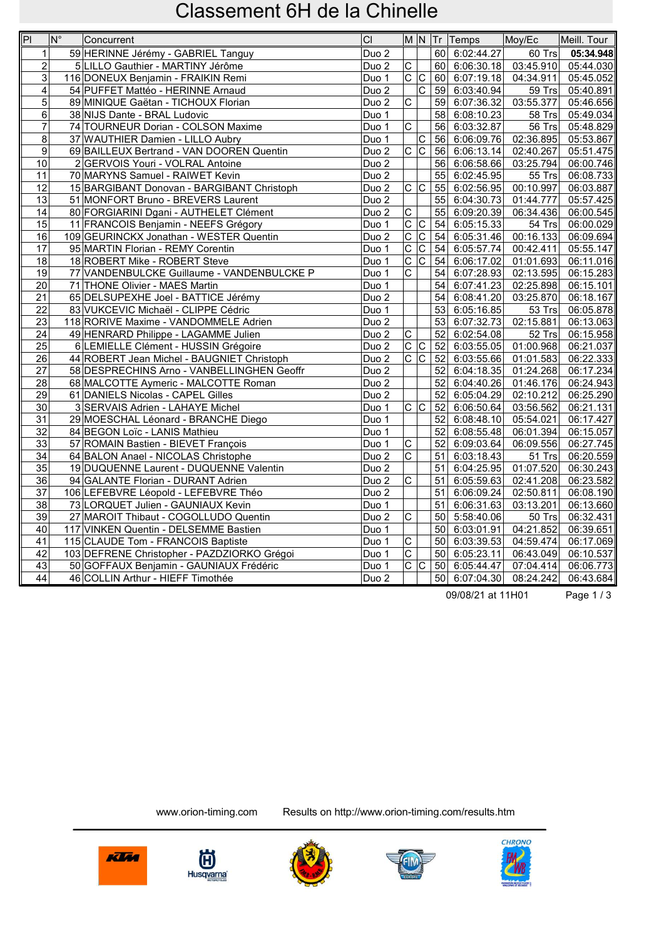| P               | $\overline{\mathsf{N}^{\circ}}$ | Concurrent                                  | CI               |                         |                         |                 | M N Tr Temps               | Moy/Ec                  | Meill. Tour |
|-----------------|---------------------------------|---------------------------------------------|------------------|-------------------------|-------------------------|-----------------|----------------------------|-------------------------|-------------|
| 1               |                                 | 59 HERINNE Jérémy - GABRIEL Tanguy          | Duo <sub>2</sub> |                         |                         |                 | 60 6:02:44.27              | 60 Trs                  | 05:34.948   |
| $\overline{2}$  |                                 | 5 LILLO Gauthier - MARTINY Jérôme           | Duo <sub>2</sub> | $\overline{\text{c}}$   |                         |                 | 60 6:06:30.18              | 03:45.910               | 05:44.030   |
| 3               |                                 | 116 DONEUX Benjamin - FRAIKIN Remi          | Duo 1            | $\overline{C}$          | c                       |                 | 60 6:07:19.18              | 04:34.911               | 05:45.052   |
| $\overline{4}$  |                                 | 54 PUFFET Mattéo - HERINNE Arnaud           | Duo <sub>2</sub> |                         | $\overline{\text{c}}$   |                 | 59 6:03:40.94              | 59 Trs                  | 05:40.891   |
| $\overline{5}$  |                                 | 89 MINIQUE Gaëtan - TICHOUX Florian         | Duo <sub>2</sub> | $\overline{\mathrm{c}}$ |                         | 59              | 6:07:36.32                 | 03:55.377               | 05:46.656   |
| $6 \,$          |                                 | 38 NIJS Dante - BRAL Ludovic                | Duo 1            |                         |                         | 58              | 6:08:10.23                 | 58 Trs                  | 05:49.034   |
| $\overline{7}$  |                                 | 74 TOURNEUR Dorian - COLSON Maxime          | Duo 1            | $\overline{\text{c}}$   |                         |                 | 56 6:03:32.87              | 56 Trs                  | 05:48.829   |
| 8               |                                 | 37 WAUTHIER Damien - LILLO Aubry            | Duo 1            |                         | C                       | 56              | 6:06:09.76                 | 02:36.895               | 05:53.867   |
| $\mathsf{g}$    |                                 | 69 BAILLEUX Bertrand - VAN DOOREN Quentin   | Duo <sub>2</sub> | $\overline{C}$          | $\overline{\mathsf{c}}$ | 56              | 6:06:13.14                 | 02:40.267               | 05:51.475   |
| 10              |                                 | 2 GERVOIS Youri - VOLRAL Antoine            | Duo <sub>2</sub> |                         |                         | 56              | 6:06:58.66                 | 03:25.794               | 06:00.746   |
| 11              |                                 | 70 MARYNS Samuel - RAIWET Kevin             | Duo <sub>2</sub> |                         |                         | 55              | 6:02:45.95                 | 55 Trs                  | 06:08.733   |
| $\overline{12}$ |                                 | 15 BARGIBANT Donovan - BARGIBANT Christoph  | Duo <sub>2</sub> | $\overline{c c}$        |                         |                 | 55 6:02:56.95              | 00:10.997               | 06:03.887   |
| 13              |                                 | 51 MONFORT Bruno - BREVERS Laurent          | Duo <sub>2</sub> |                         |                         | 55              | 6:04:30.73                 | 01:44.777               | 05:57.425   |
| 14              |                                 | 80 FORGIARINI Dgani - AUTHELET Clément      | Duo <sub>2</sub> | $\overline{C}$          |                         | 55              | 6:09:20.39                 | 06:34.436               | 06:00.545   |
| 15              |                                 | 11 FRANCOIS Benjamin - NEEFS Grégory        | Duo 1            | $\overline{c}$          | $\overline{\mathsf{C}}$ | 54              | 6:05:15.33                 | 54 Trs                  | 06:00.029   |
| 16              |                                 | 109 GEURINCKX Jonathan - WESTER Quentin     | Duo <sub>2</sub> | $\overline{\mathrm{c}}$ | $\overline{\mathsf{c}}$ | 54              | 6:05:31.46                 | $\overline{00}$ :16.133 | 06:09.694   |
| 17              |                                 | 95 MARTIN Florian - REMY Corentin           | Duo 1            | $\overline{\mathsf{C}}$ | C                       | 54              | 6:05:57.74                 | 00:42.411               | 05:55.147   |
| 18              |                                 | 18 ROBERT Mike - ROBERT Steve               | Duo 1            | $\overline{C}$          | $\overline{C}$          | 54              | 6:06:17.02                 | 01:01.693               | 06:11.016   |
| 19              |                                 | 77 VANDENBULCKE Guillaume - VANDENBULCKE P  | Duo 1            | $\overline{\mathrm{c}}$ |                         | 54              | 6:07:28.93                 | 02:13.595               | 06:15.283   |
| 20              |                                 | 71 THONE Olivier - MAES Martin              | Duo 1            |                         |                         | 54              | 6:07:41.23                 | 02:25.898               | 06:15.101   |
| 21              |                                 | 65 DELSUPEXHE Joel - BATTICE Jérémy         | Duo <sub>2</sub> |                         |                         |                 | $\overline{54}$ 6:08:41.20 | 03:25.870               | 06:18.167   |
| 22              |                                 | 83 VUKCEVIC Michaël - CLIPPE Cédric         | Duo 1            |                         |                         | 53              | 6:05:16.85                 | 53 Trs                  | 06:05.878   |
| 23              |                                 | 118 RORIVE Maxime - VANDOMMELE Adrien       | Duo <sub>2</sub> |                         |                         | 53              | 6:07:32.73                 | 02:15.881               | 06:13.063   |
| 24              |                                 | 49 HENRARD Philippe - LAGAMME Julien        | Duo <sub>2</sub> | $\overline{\text{c}}$   |                         | 52              | 6:02:54.08                 | 52 Trs                  | 06:15.958   |
| 25              |                                 | 6 LEMIELLE Clément - HUSSIN Grégoire        | Duo <sub>2</sub> | $\overline{\mathrm{c}}$ | c                       | 52              | 6:03:55.05                 | 01:00.968               | 06:21.037   |
| 26              |                                 | 44 ROBERT Jean Michel - BAUGNIET Christoph  | Duo <sub>2</sub> | $\overline{\text{c}}$   | $\overline{C}$          | 52              | 6:03:55.66                 | 01:01.583               | 06:22.333   |
| 27              |                                 | 58 DESPRECHINS Arno - VANBELLINGHEN Geoffr  | Duo <sub>2</sub> |                         |                         | 52              | 6:04:18.35                 | 01:24.268               | 06:17.234   |
| 28              |                                 | 68 MALCOTTE Aymeric - MALCOTTE Roman        | Duo <sub>2</sub> |                         |                         | 52              | 6:04:40.26                 | 01:46.176               | 06:24.943   |
| 29              |                                 | 61 DANIELS Nicolas - CAPEL Gilles           | Duo <sub>2</sub> |                         |                         | 52              | 6:05:04.29                 | 02:10.212               | 06:25.290   |
| 30              |                                 | 3 SERVAIS Adrien - LAHAYE Michel            | Duo 1            |                         | $\overline{c c}$        | $\overline{52}$ | 6:06:50.64                 | 03:56.562               | 06:21.131   |
| 31              |                                 | 29 MOESCHAL Léonard - BRANCHE Diego         | Duo 1            |                         |                         | 52              | 6:08:48.10                 | 05:54.021               | 06:17.427   |
| 32              |                                 | 84 BEGON Loïc - LANIS Mathieu               | Duo 1            |                         |                         | 52              | 6:08:55.48                 | 06:01.394               | 06:15.057   |
| 33              |                                 | 57 ROMAIN Bastien - BIEVET François         | Duo 1            | $\overline{c}$          |                         | 52              | 6:09:03.64                 | 06:09.556               | 06:27.745   |
| 34              |                                 | 64 BALON Anael - NICOLAS Christophe         | Duo <sub>2</sub> | $\overline{\mathsf{c}}$ |                         | 51              | 6:03:18.43                 | 51 Trs                  | 06:20.559   |
| $\overline{35}$ |                                 | 19 DUQUENNE Laurent - DUQUENNE Valentin     | Duo <sub>2</sub> |                         |                         | 51              | 6:04:25.95                 | 01:07.520               | 06:30.243   |
| 36              |                                 | 94 GALANTE Florian - DURANT Adrien          | Duo <sub>2</sub> | C                       |                         | 51              | 6:05:59.63                 | 02:41.208               | 06:23.582   |
| 37              |                                 | 106 LEFEBVRE Léopold - LEFEBVRE Théo        | Duo <sub>2</sub> |                         |                         | 51              | 6:06:09.24                 | 02:50.811               | 06:08.190   |
| 38              |                                 | 73 LORQUET Julien - GAUNIAUX Kevin          | Duo 1            |                         |                         | 51              | 6:06:31.63                 | 03:13.201               | 06:13.660   |
| 39              |                                 | 27 MAROIT Thibaut - COGOLLUDO Quentin       | Duo <sub>2</sub> | $\overline{\mathrm{c}}$ |                         | 50              | 5:58:40.06                 | 50 Trs                  | 06:32.431   |
| 40              |                                 | 117 VINKEN Quentin - DELSEMME Bastien       | Duo 1            |                         |                         |                 | 50 6:03:01.91              | 04:21.852               | 06:39.651   |
| 41              |                                 | 115 CLAUDE Tom - FRANCOIS Baptiste          | Duo 1            | $\overline{C}$          |                         | 50 <sup>1</sup> | 6:03:39.53                 | 04:59.474               | 06:17.069   |
| 42              |                                 | 103 DEFRENE Christopher - PAZDZIORKO Grégoi | Duo 1            | $\overline{\mathsf{C}}$ |                         | 50              | 6:05:23.11                 | 06:43.049               | 06:10.537   |
| 43              |                                 | 50 GOFFAUX Benjamin - GAUNIAUX Frédéric     | Duo 1            | $\overline{\mathrm{c}}$ | $\overline{\mathsf{c}}$ |                 | 50 6:05:44.47              | 07:04.414               | 06:06.773   |
| $\overline{44}$ |                                 | 46 COLLIN Arthur - HIEFF Timothée           | Duo <sub>2</sub> |                         |                         |                 | 50 6:07:04.30              | 08:24.242               | 06:43.684   |

09/08/21 at 11H01 Page 1 / 3









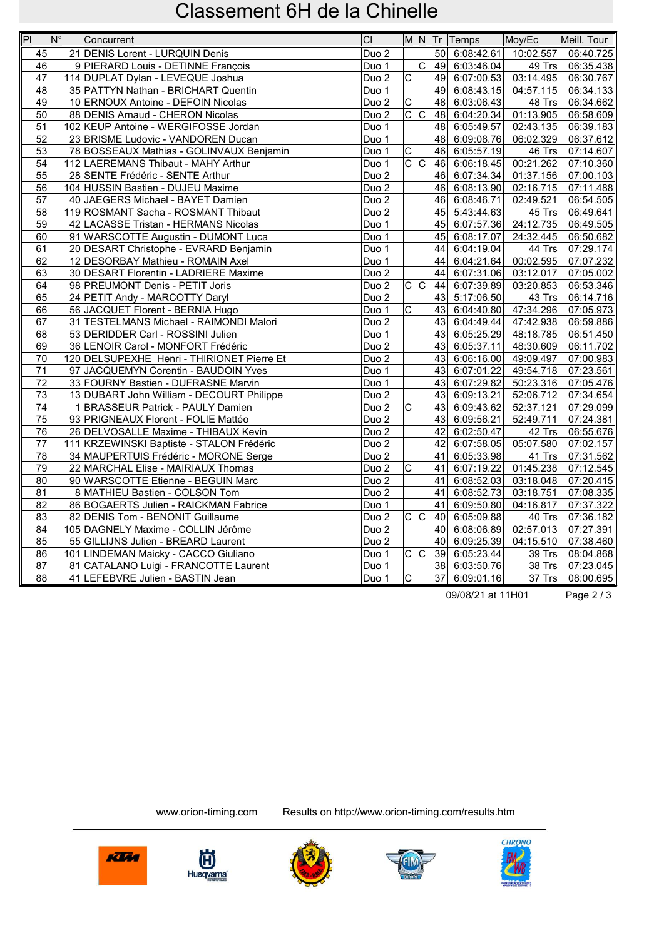| $\overline{P}$  | $N^{\circ}$<br>Concurrent                  | CI               |                               |                       |                 | M N Tr Temps               | Moy/Ec                 | Meill. Tour |
|-----------------|--------------------------------------------|------------------|-------------------------------|-----------------------|-----------------|----------------------------|------------------------|-------------|
| 45              | 21 DENIS Lorent - LURQUIN Denis            | Duo <sub>2</sub> |                               |                       | 50              | 6:08:42.61                 | 10:02.557              | 06:40.725   |
| $\overline{46}$ | 9 PIERARD Louis - DETINNE François         | Duo 1            |                               | $\overline{\text{c}}$ |                 | 49 6:03:46.04              | 49 Trs                 | 06:35.438   |
| 47              | 114 DUPLAT Dylan - LEVEQUE Joshua          | Duo <sub>2</sub> | $\overline{C}$                |                       |                 | 49 6:07:00.53              | 03:14.495              | 06:30.767   |
| 48              | 35 PATTYN Nathan - BRICHART Quentin        | Duo 1            |                               |                       | 49              | 6:08:43.15                 | 04:57.115              | 06:34.133   |
| 49              | 10 ERNOUX Antoine - DEFOIN Nicolas         | Duo <sub>2</sub> | $\overline{\mathrm{c}}$       |                       | 48              | 6:03:06.43                 | 48 Trs                 | 06:34.662   |
| 50              | 88 DENIS Arnaud - CHERON Nicolas           | Duo <sub>2</sub> | $\overline{C}$ $\overline{C}$ |                       | 48              | 6:04:20.34                 | 01:13.905              | 06:58.609   |
| $\overline{51}$ | 102 KEUP Antoine - WERGIFOSSE Jordan       | Duo 1            |                               |                       | 48              | 6:05:49.57                 | 02:43.135              | 06:39.183   |
| 52              | 23 BRISME Ludovic - VANDOREN Ducan         | Duo 1            |                               |                       |                 | 48 6:09:08.76              | 06:02.329              | 06:37.612   |
| 53              | 78 BOSSEAUX Mathias - GOLINVAUX Benjamin   | Duo 1            | $\overline{C}$                |                       | 46              | 6:05:57.19                 | 46 Trs                 | 07:14.607   |
| 54              | 112 LAEREMANS Thibaut - MAHY Arthur        | Duo 1            | $\overline{c}$ $\overline{c}$ |                       |                 | 46 6:06:18.45              | 00:21.262              | 07:10.360   |
| 55              | 28 SENTE Frédéric - SENTE Arthur           | Duo <sub>2</sub> |                               |                       |                 | 46 6:07:34.34              | 01:37.156              | 07:00.103   |
| 56              | 104 HUSSIN Bastien - DUJEU Maxime          | Duo <sub>2</sub> |                               |                       | 46              | 6:08:13.90                 | 02:16.715              | 07:11.488   |
| 57              | 40 JAEGERS Michael - BAYET Damien          | Duo <sub>2</sub> |                               |                       | 46              | 6:08:46.71                 | 02:49.521              | 06:54.505   |
| 58              | 119 ROSMANT Sacha - ROSMANT Thibaut        | Duo <sub>2</sub> |                               |                       | 45              | 5:43:44.63                 | 45 Trs                 | 06:49.641   |
| 59              | 42 LACASSE Tristan - HERMANS Nicolas       | Duo 1            |                               |                       | 45              | 6:07:57.36                 | 24:12.735              | 06:49.505   |
| 60              | 91 WARSCOTTE Augustin - DUMONT Luca        | Duo 1            |                               |                       | 45              | 6:08:17.07                 | 24:32.445              | 06:50.682   |
| 61              | 20 DESART Christophe - EVRARD Benjamin     | Duo 1            |                               |                       | 44              | 6:04:19.04                 | $\overline{44}$ Trs    | 07:29.174   |
| 62              | 12 DESORBAY Mathieu - ROMAIN Axel          | Duo 1            |                               |                       | 44              | 6:04:21.64                 | 00:02.595              | 07:07.232   |
| 63              | 30 DESART Florentin - LADRIERE Maxime      | Duo <sub>2</sub> |                               |                       | 44              | 6:07:31.06                 | 03:12.017              | 07:05.002   |
| 64              | 98 PREUMONT Denis - PETIT Joris            | Duo <sub>2</sub> | $\overline{c c}$              |                       | 44              | 6:07:39.89                 | 03:20.853              | 06:53.346   |
| 65              | 24 PETIT Andy - MARCOTTY Daryl             | Duo <sub>2</sub> |                               |                       | 43              | 5:17:06.50                 | 43 Trs                 | 06:14.716   |
| 66              | 56 JACQUET Florent - BERNIA Hugo           | Duo 1            | $\overline{\text{c}}$         |                       | 43              | 6:04:40.80                 | 47:34.296              | 07:05.973   |
| 67              | 31 TESTELMANS Michael - RAIMONDI Malori    | Duo <sub>2</sub> |                               |                       | 43              | 6:04:49.44                 | 47:42.938              | 06:59.886   |
| 68              | 53 DERIDDER Carl - ROSSINI Julien          | Duo 1            |                               |                       | 43              | 6:05:25.29                 | 48:18.785              | 06:51.450   |
| 69              | 36 LENOIR Carol - MONFORT Frédéric         | Duo <sub>2</sub> |                               |                       | 43 <sub>l</sub> | 6:05:37.11                 | $\overline{48:}30.609$ | 06:11.702   |
| $70\,$          | 120 DELSUPEXHE Henri - THIRIONET Pierre Et | Duo <sub>2</sub> |                               |                       | 43              | 6:06:16.00                 | 49:09.497              | 07:00.983   |
| 71              | 97 JACQUEMYN Corentin - BAUDOIN Yves       | Duo 1            |                               |                       | 43              | 6:07:01.22                 | 49:54.718              | 07:23.561   |
| 72              | 33 FOURNY Bastien - DUFRASNE Marvin        | Duo 1            |                               |                       | 43              | 6:07:29.82                 | 50:23.316              | 07:05.476   |
| 73              | 13 DUBART John William - DECOURT Philippe  | Duo <sub>2</sub> |                               |                       | 43 <sub>l</sub> | 6:09:13.21                 | 52:06.712              | 07:34.654   |
| 74              | 1 BRASSEUR Patrick - PAULY Damien          | Duo <sub>2</sub> | $\overline{\mathsf{c}}$       |                       |                 | 43 6:09:43.62              | 52:37.121              | 07:29.099   |
| 75              | 93 PRIGNEAUX Florent - FOLIE Mattéo        | Duo <sub>2</sub> |                               |                       | 43              | 6:09:56.21                 | 52:49.711              | 07:24.381   |
| 76              | 26 DELVOSALLE Maxime - THIBAUX Kevin       | Duo <sub>2</sub> |                               |                       | 42              | 6:02:50.47                 | 42 Trs                 | 06:55.676   |
| 77              | 111 KRZEWINSKI Baptiste - STALON Frédéric  | Duo <sub>2</sub> |                               |                       | 42              | 6:07:58.05                 | 05:07.580              | 07:02.157   |
| 78              | 34 MAUPERTUIS Frédéric - MORONE Serge      | Duo <sub>2</sub> |                               |                       | 41              | 6:05:33.98                 | 41 Trs                 | 07:31.562   |
| 79              | 22 MARCHAL Elise - MAIRIAUX Thomas         | Duo <sub>2</sub> | $\overline{\text{c}}$         |                       | 41              | 6:07:19.22                 | 01:45.238              | 07:12.545   |
| 80              | 90 WARSCOTTE Etienne - BEGUIN Marc         | Duo <sub>2</sub> |                               |                       | 41              | 6:08:52.03                 | 03:18.048              | 07:20.415   |
| 81              | 8 MATHIEU Bastien - COLSON Tom             | Duo <sub>2</sub> |                               |                       | 41              | 6:08:52.73                 | 03:18.751              | 07:08.335   |
| 82              | 86 BOGAERTS Julien - RAICKMAN Fabrice      | Duo 1            |                               |                       | 41              | 6:09:50.80                 | 04:16.817              | 07:37.322   |
| 83              | 82 DENIS Tom - BENONIT Guillaume           | Duo <sub>2</sub> | $\overline{c c}$              |                       |                 | 40 6:05:09.88              | $40$ Trs               | 07:36.182   |
| 84              | 105 DAGNELY Maxime - COLLIN Jérôme         | Duo <sub>2</sub> |                               |                       |                 | $\overline{40}$ 6:08:06.89 | 02:57.013              | 07:27.391   |
| 85              | 55 GILLIJNS Julien - BREARD Laurent        | Duo <sub>2</sub> |                               |                       |                 | 40 6:09:25.39              | 04:15.510              | 07:38.460   |
| 86              | 101 LINDEMAN Maicky - CACCO Giuliano       | Duo 1            | $\overline{c c}$              |                       |                 | 39 6:05:23.44              | 39 Trs                 | 08:04.868   |
| 87              | 81 CATALANO Luigi - FRANCOTTE Laurent      | Duo 1            |                               |                       | 38              | 6:03:50.76                 | 38 Trs                 | 07:23.045   |
| 88              | 41 LEFEBVRE Julien - BASTIN Jean           | Duo 1            | $\overline{\mathsf{c}}$       |                       | 37              | 6:09:01.16                 | 37 Trs                 | 08:00.695   |

09/08/21 at 11H01 Page 2/3